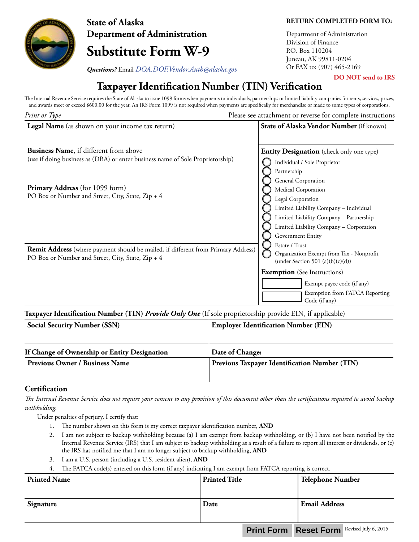

**State of Alaska Department of Administration**

# **Substitute Form W-9**

**RETURN COMPLETED FORM TO:**

**DO NOT send to IRS**

Department of Administration Division of Finance P.O. Box 110204 Juneau, AK 99811-0204

**Questions?** Email *DOA.DOF.Vendor.Auth@alaska.gov* Or FAX to: (907) 465-2169

## **Taxpayer Identification Number (TIN) Verification**

The Internal Revenue Service requires the State of Alaska to issue 1099 forms when payments to individuals, partnerships or limited liability companies for rents, services, prizes, and awards meet or exceed \$600.00 for the year. An IRS Form 1099 is not required when payments are specifically for merchandise or made to some types of corporations.

| Print or Type                                                                                                                                 | Please see attachment or reverse for complete instructions                                                                                                                                                                 |  |
|-----------------------------------------------------------------------------------------------------------------------------------------------|----------------------------------------------------------------------------------------------------------------------------------------------------------------------------------------------------------------------------|--|
| Legal Name (as shown on your income tax return)                                                                                               | State of Alaska Vendor Number (if known)                                                                                                                                                                                   |  |
| <b>Business Name, if different from above</b><br>(use if doing business as (DBA) or enter business name of Sole Proprietorship)               | <b>Entity Designation</b> (check only one type)<br>Individual / Sole Proprietor<br>Partnership                                                                                                                             |  |
| <b>Primary Address</b> (for 1099 form)<br>PO Box or Number and Street, City, State, Zip + 4                                                   | General Corporation<br>Medical Corporation<br>Legal Corporation<br>Limited Liability Company - Individual<br>Limited Liability Company - Partnership<br>Limited Liability Company - Corporation<br>Government Entity       |  |
| <b>Remit Address</b> (where payment should be mailed, if different from Primary Address)<br>PO Box or Number and Street, City, State, Zip + 4 | Estate / Trust<br>Organization Exempt from Tax - Nonprofit<br>(under Section 501 (a) $(b)(c)(d)$ )<br><b>Exemption</b> (See Instructions)<br>Exempt payee code (if any)<br>Exemption from FATCA Reporting<br>Code (if any) |  |

**Taxpayer Identification Number (TIN)** *Provide Only One* (If sole proprietorship provide EIN, if applicable)

| <b>Social Security Number (SSN)</b>          | <b>Employer Identification Number (EIN)</b>   |
|----------------------------------------------|-----------------------------------------------|
| If Change of Ownership or Entity Designation | Date of Change:                               |
| <b>Previous Owner / Business Name</b>        | Previous Taxpayer Identification Number (TIN) |
|                                              |                                               |

### **Certification**

*The Internal Revenue Service does not require your consent to any provision of this document other than the certifications required to avoid backup withholding.*

Under penalties of perjury, I certify that:

- 1. The number shown on this form is my correct taxpayer identification number, **AND**
- 2. I am not subject to backup withholding because (a) I am exempt from backup withholding, or (b) I have not been notified by the Internal Revenue Service (IRS) that I am subject to backup withholding as a result of a failure to report all interest or dividends, or (c) the IRS has notified me that I am no longer subject to backup withholding, **AND**
- 3. I am a U.S. person (including a U.S. resident alien), **AND**
- 4. The FATCA code(s) entered on this form (if any) indicating I am exempt from FATCA reporting is correct.

| <b>Printed Name</b> | <b>Printed Title</b> | Telephone Number                                   |
|---------------------|----------------------|----------------------------------------------------|
| Signature           | Date                 | <b>Email Address</b>                               |
|                     |                      | <b>Druhammer Depart Forms</b> Revised July 6, 2015 |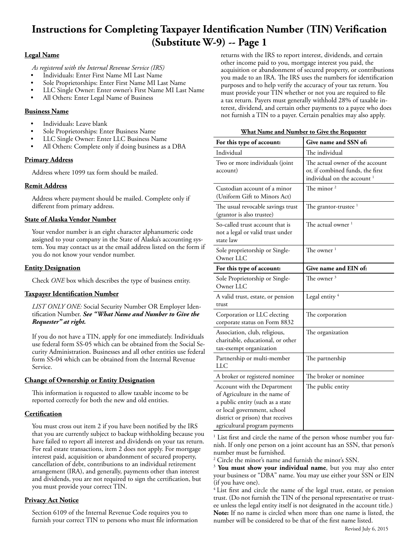## **Instructions for Completing Taxpayer Identification Number (TIN) Verification (Substitute W-9) -- Page 1**

#### **Legal Name**

*As registered with the Internal Revenue Service (IRS)*

- Individuals: Enter First Name MI Last Name
- Sole Proprietorships: Enter First Name MI Last Name
- LLC Single Owner: Enter owner's First Name MI Last Name
- All Others: Enter Legal Name of Business

#### **Business Name**

- Individuals: Leave blank
- Sole Proprietorships: Enter Business Name
- LLC Single Owner: Enter LLC Business Name
- All Others: Complete only if doing business as a DBA

#### **Primary Address**

Address where 1099 tax form should be mailed.

#### **Remit Address**

Address where payment should be mailed. Complete only if different from primary address.

#### **State of Alaska Vendor Number**

Your vendor number is an eight character alphanumeric code assigned to your company in the State of Alaska's accounting system. You may contact us at the email address listed on the form if you do not know your vendor number.

#### **Entity Designation**

Check *ONE* box which describes the type of business entity.

#### **Taxpayer Identification Number**

*LIST ONLY ONE:* Social Security Number OR Employer Identification Number. *See "What Name and Number to Give the Requester" at right.*

If you do not have a TIN, apply for one immediately. Individuals use federal form SS-05 which can be obtained from the Social Security Administration. Businesses and all other entities use federal form SS-04 which can be obtained from the Internal Revenue Service.

#### **Change of Ownership or Entity Designation**

This information is requested to allow taxable income to be reported correctly for both the new and old entities.

#### **Certification**

You must cross out item 2 if you have been notified by the IRS that you are currently subject to backup withholding because you have failed to report all interest and dividends on your tax return. For real estate transactions, item 2 does not apply. For mortgage interest paid, acquisition or abandonment of secured property, cancellation of debt, contributions to an individual retirement arrangement (IRA), and generally, payments other than interest and dividends, you are not required to sign the certification, but you must provide your correct TIN.

#### **Privacy Act Notice**

Section 6109 of the Internal Revenue Code requires you to furnish your correct TIN to persons who must file information returns with the IRS to report interest, dividends, and certain other income paid to you, mortgage interest you paid, the acquisition or abandonment of secured property, or contributions you made to an IRA. The IRS uses the numbers for identification purposes and to help verify the accuracy of your tax return. You must provide your TIN whether or not you are required to file a tax return. Payers must generally withhold 28% of taxable interest, dividend, and certain other payments to a payee who does not furnish a TIN to a payer. Certain penalties may also apply.

| <u>What I value and I vulliber to Give the Requester</u>                                                                                                                                              |                                                                                                               |  |
|-------------------------------------------------------------------------------------------------------------------------------------------------------------------------------------------------------|---------------------------------------------------------------------------------------------------------------|--|
| For this type of account:                                                                                                                                                                             | Give name and SSN of:                                                                                         |  |
| Individual                                                                                                                                                                                            | The individual                                                                                                |  |
| Two or more individuals (joint<br>account)                                                                                                                                                            | The actual owner of the account<br>or, if combined funds, the first<br>individual on the account <sup>1</sup> |  |
| Custodian account of a minor<br>(Uniform Gift to Minors Act)                                                                                                                                          | The minor <sup>2</sup>                                                                                        |  |
| The usual revocable savings trust<br>(grantor is also trustee)                                                                                                                                        | The grantor-trustee <sup>1</sup>                                                                              |  |
| So-called trust account that is<br>not a legal or valid trust under<br>state law                                                                                                                      | The actual owner $^{\rm 1}$                                                                                   |  |
| Sole proprietorship or Single-<br>Owner LLC                                                                                                                                                           | The owner <sup>1</sup>                                                                                        |  |
| For this type of account:                                                                                                                                                                             | Give name and EIN of:                                                                                         |  |
| Sole Proprietorship or Single-<br>Owner LLC                                                                                                                                                           | The owner $3$                                                                                                 |  |
| A valid trust, estate, or pension<br>trust                                                                                                                                                            | Legal entity <sup>4</sup>                                                                                     |  |
| Corporation or LLC electing<br>corporate status on Form 8832                                                                                                                                          | The corporation                                                                                               |  |
| Association, club, religious,<br>charitable, educational, or other<br>tax-exempt organization                                                                                                         | The organization                                                                                              |  |
| Partnership or multi-member<br>LLC                                                                                                                                                                    | The partnership                                                                                               |  |
| A broker or registered nominee                                                                                                                                                                        | The broker or nominee                                                                                         |  |
| Account with the Department<br>of Agriculture in the name of<br>a public entity (such as a state<br>or local government, school<br>district or prison) that receives<br>agricultural program payments | The public entity                                                                                             |  |

**What Name and Number to Give the Requester**

1 List first and circle the name of the person whose number you furnish. If only one person on a joint account has an SSN, that person's number must be furnished.

2 Circle the minor's name and furnish the minor's SSN.

<sup>3</sup> You must show your individual name, but you may also enter your business or "DBA" name. You may use either your SSN or EIN (if you have one).

<sup>4</sup> List first and circle the name of the legal trust, estate, or pension trust. (Do not furnish the TIN of the personal representative or trustee unless the legal entity itself is not designated in the account title.) **Note:** If no name is circled when more than one name is listed, the number will be considered to be that of the first name listed.